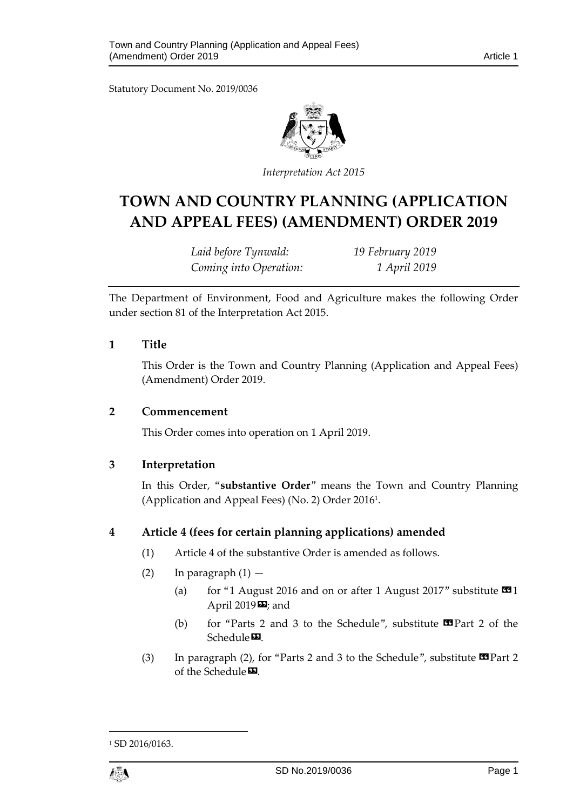Statutory Document No. 2019/0036



*Interpretation Act 2015*

# **TOWN AND COUNTRY PLANNING (APPLICATION AND APPEAL FEES) (AMENDMENT) ORDER 2019**

*Laid before Tynwald: 19 February 2019 Coming into Operation: 1 April 2019*

The Department of Environment, Food and Agriculture makes the following Order under section 81 of the Interpretation Act 2015.

#### **1 Title**

This Order is the Town and Country Planning (Application and Appeal Fees) (Amendment) Order 2019.

#### **2 Commencement**

This Order comes into operation on 1 April 2019.

### **3 Interpretation**

In this Order, "**substantive Order**" means the Town and Country Planning (Application and Appeal Fees) (No. 2) Order 2016<sup>1</sup> .

### **4 Article 4 (fees for certain planning applications) amended**

- (1) Article 4 of the substantive Order is amended as follows.
- (2) In paragraph  $(1)$ 
	- (a) for "1 August 2016 and on or after 1 August 2017" substitute  $\blacksquare$ 1 April 2019 $\blacksquare$ ; and
	- (b) for "Parts 2 and 3 to the Schedule", substitute  $\mathbf{\Omega}$  Part 2 of the Schedule<sup>D</sup>.
- (3) In paragraph (2), for "Parts 2 and 3 to the Schedule", substitute  $\blacksquare$  Part 2 of the Schedule<sup>D</sup>.

<sup>&</sup>lt;sup>1</sup> SD 2016/0163.



1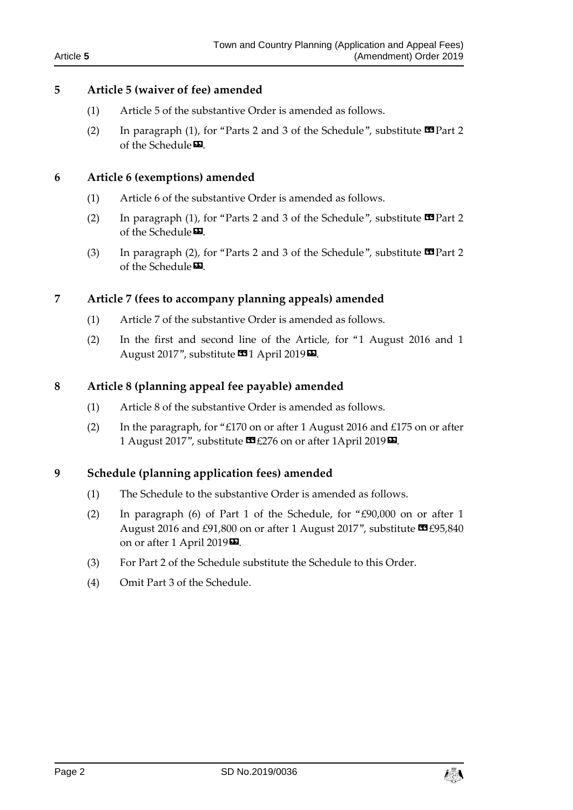### **5 Article 5 (waiver of fee) amended**

- (1) Article 5 of the substantive Order is amended as follows.
- (2) In paragraph (1), for "Parts 2 and 3 of the Schedule", substitute  $\mathbf{\mathfrak{B}}$  Part 2 of the Schedule<sup>D</sup>.

### **6 Article 6 (exemptions) amended**

- (1) Article 6 of the substantive Order is amended as follows.
- (2) In paragraph (1), for "Parts 2 and 3 of the Schedule", substitute  $\blacksquare$  Part 2 of the Schedule<sup>D</sup>.
- (3) In paragraph (2), for "Parts 2 and 3 of the Schedule", substitute  $\blacksquare$  Part 2 of the Schedule<sup>D</sup>.

# **7 Article 7 (fees to accompany planning appeals) amended**

- (1) Article 7 of the substantive Order is amended as follows.
- (2) In the first and second line of the Article, for "1 August 2016 and 1 August 2017", substitute **14** April 2019 **EL**.

# **8 Article 8 (planning appeal fee payable) amended**

- (1) Article 8 of the substantive Order is amended as follows.
- (2) In the paragraph, for "£170 on or after 1 August 2016 and £175 on or after 1 August 2017", substitute  $\mathbf{E}$  £276 on or after 1April 2019 $\mathbf{E}$ .

### **9 Schedule (planning application fees) amended**

- (1) The Schedule to the substantive Order is amended as follows.
- (2) In paragraph (6) of Part 1 of the Schedule, for "£90,000 on or after 1 August 2016 and £91,800 on or after 1 August 2017", substitute <a>C<br/>95,840 on or after 1 April 2019<sup>D</sup>.
- (3) For Part 2 of the Schedule substitute the Schedule to this Order.
- (4) Omit Part 3 of the Schedule.

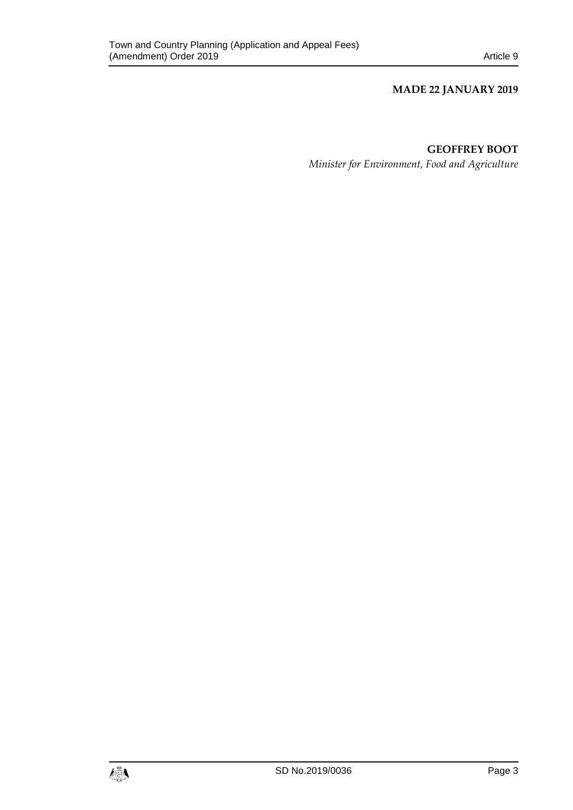#### **MADE 22 JANUARY 2019**

### **GEOFFREY BOOT**

*Minister for Environment, Food and Agriculture*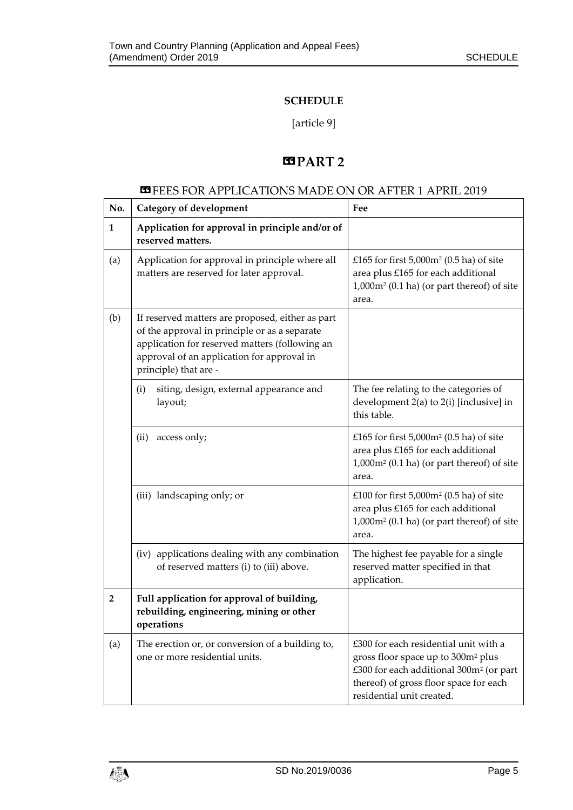### **SCHEDULE**

[article 9]

## $B PART 2$

### **ES** FEES FOR APPLICATIONS MADE ON OR AFTER 1 APRIL 2019

| No.            | Category of development                                                                                                                                                                                                    | Fee                                                                                                                                                                                                                   |
|----------------|----------------------------------------------------------------------------------------------------------------------------------------------------------------------------------------------------------------------------|-----------------------------------------------------------------------------------------------------------------------------------------------------------------------------------------------------------------------|
| $\mathbf{1}$   | Application for approval in principle and/or of<br>reserved matters.                                                                                                                                                       |                                                                                                                                                                                                                       |
| (a)            | Application for approval in principle where all<br>matters are reserved for later approval.                                                                                                                                | £165 for first $5,000$ m <sup>2</sup> (0.5 ha) of site<br>area plus £165 for each additional<br>$1,000$ m <sup>2</sup> (0.1 ha) (or part thereof) of site<br>area.                                                    |
| (b)            | If reserved matters are proposed, either as part<br>of the approval in principle or as a separate<br>application for reserved matters (following an<br>approval of an application for approval in<br>principle) that are - |                                                                                                                                                                                                                       |
|                | siting, design, external appearance and<br>(i)<br>layout;                                                                                                                                                                  | The fee relating to the categories of<br>development 2(a) to 2(i) [inclusive] in<br>this table.                                                                                                                       |
|                | (ii)<br>access only;                                                                                                                                                                                                       | £165 for first $5,000$ m <sup>2</sup> (0.5 ha) of site<br>area plus £165 for each additional<br>1,000m <sup>2</sup> (0.1 ha) (or part thereof) of site<br>area.                                                       |
|                | (iii) landscaping only; or                                                                                                                                                                                                 | £100 for first $5,000$ m <sup>2</sup> (0.5 ha) of site<br>area plus £165 for each additional<br>$1,000m^2$ (0.1 ha) (or part thereof) of site<br>area.                                                                |
|                | (iv) applications dealing with any combination<br>of reserved matters (i) to (iii) above.                                                                                                                                  | The highest fee payable for a single<br>reserved matter specified in that<br>application.                                                                                                                             |
| $\overline{2}$ | Full application for approval of building,<br>rebuilding, engineering, mining or other<br>operations                                                                                                                       |                                                                                                                                                                                                                       |
| (a)            | The erection or, or conversion of a building to,<br>one or more residential units.                                                                                                                                         | £300 for each residential unit with a<br>gross floor space up to 300m <sup>2</sup> plus<br>£300 for each additional 300m <sup>2</sup> (or part<br>thereof) of gross floor space for each<br>residential unit created. |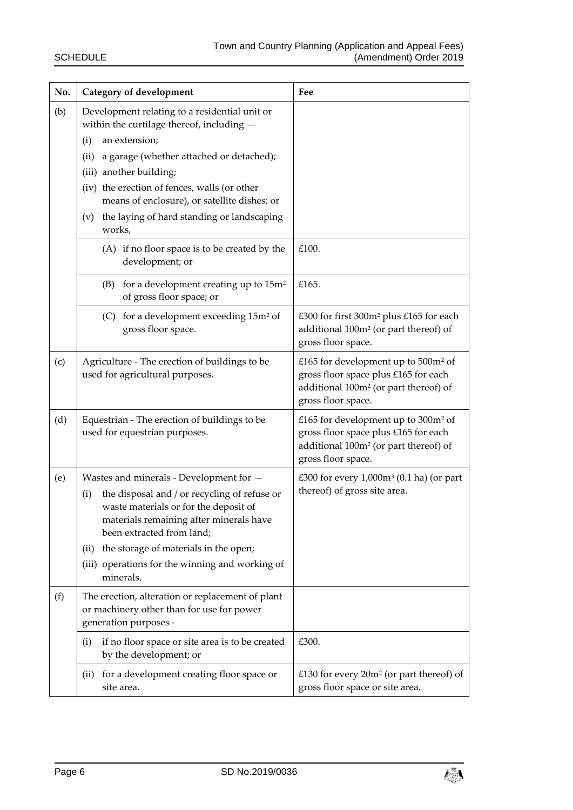| No. | Category of development                                                                                                                                                                                                                                                                                                                                         | Fee                                                                                                                                                                |
|-----|-----------------------------------------------------------------------------------------------------------------------------------------------------------------------------------------------------------------------------------------------------------------------------------------------------------------------------------------------------------------|--------------------------------------------------------------------------------------------------------------------------------------------------------------------|
| (b) | Development relating to a residential unit or<br>within the curtilage thereof, including $-$<br>an extension;<br>(i)<br>a garage (whether attached or detached);<br>(ii)<br>(iii) another building;<br>(iv) the erection of fences, walls (or other<br>means of enclosure), or satellite dishes; or<br>(v) the laying of hard standing or landscaping<br>works, |                                                                                                                                                                    |
|     | (A) if no floor space is to be created by the<br>development; or                                                                                                                                                                                                                                                                                                | £100.                                                                                                                                                              |
|     | for a development creating up to 15m <sup>2</sup><br>(B)<br>of gross floor space; or                                                                                                                                                                                                                                                                            | £165.                                                                                                                                                              |
|     | for a development exceeding 15m <sup>2</sup> of<br>(C)<br>gross floor space.                                                                                                                                                                                                                                                                                    | £300 for first 300m <sup>2</sup> plus £165 for each<br>additional 100m <sup>2</sup> (or part thereof) of<br>gross floor space.                                     |
| (c) | Agriculture - The erection of buildings to be<br>used for agricultural purposes.                                                                                                                                                                                                                                                                                | £165 for development up to 500m <sup>2</sup> of<br>gross floor space plus £165 for each<br>additional 100m <sup>2</sup> (or part thereof) of<br>gross floor space. |
| (d) | Equestrian - The erection of buildings to be<br>used for equestrian purposes.                                                                                                                                                                                                                                                                                   | £165 for development up to 300m <sup>2</sup> of<br>gross floor space plus £165 for each<br>additional 100m <sup>2</sup> (or part thereof) of<br>gross floor space. |
| (e) | Wastes and minerals - Development for -<br>the disposal and / or recycling of refuse or<br>(i)<br>waste materials or for the deposit of<br>materials remaining after minerals have<br>been extracted from land;<br>the storage of materials in the open;<br>(i)<br>(iii) operations for the winning and working of<br>minerals.                                 | £300 for every $1,000m^3$ (0.1 ha) (or part<br>thereof) of gross site area.                                                                                        |
| (f) | The erection, alteration or replacement of plant<br>or machinery other than for use for power<br>generation purposes -                                                                                                                                                                                                                                          |                                                                                                                                                                    |
|     | if no floor space or site area is to be created<br>(i)<br>by the development; or                                                                                                                                                                                                                                                                                | £300.                                                                                                                                                              |
|     | (ii) for a development creating floor space or<br>site area.                                                                                                                                                                                                                                                                                                    | £130 for every $20m^2$ (or part thereof) of<br>gross floor space or site area.                                                                                     |

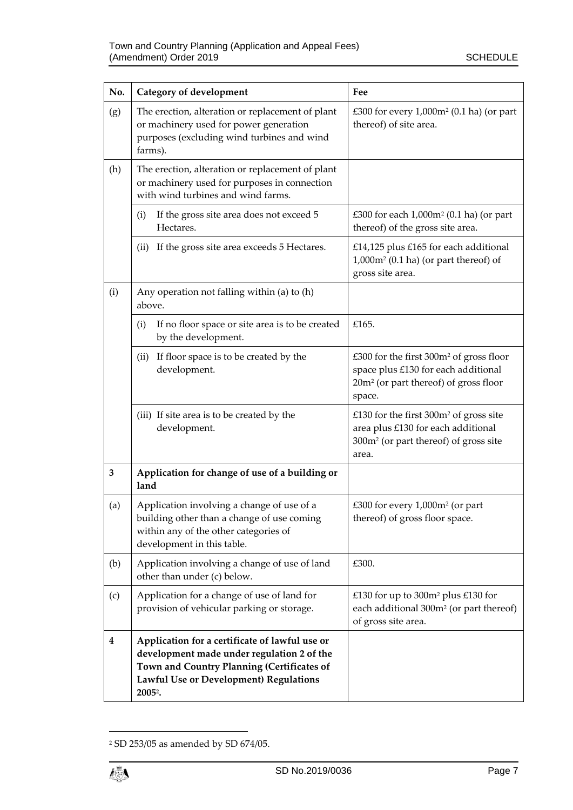| No. | Category of development                                                                                                                                                                                     | Fee                                                                                                                                                       |
|-----|-------------------------------------------------------------------------------------------------------------------------------------------------------------------------------------------------------------|-----------------------------------------------------------------------------------------------------------------------------------------------------------|
| (g) | The erection, alteration or replacement of plant<br>or machinery used for power generation<br>purposes (excluding wind turbines and wind<br>farms).                                                         | £300 for every 1,000m <sup>2</sup> (0.1 ha) (or part<br>thereof) of site area.                                                                            |
| (h) | The erection, alteration or replacement of plant<br>or machinery used for purposes in connection<br>with wind turbines and wind farms.                                                                      |                                                                                                                                                           |
|     | If the gross site area does not exceed 5<br>(i)<br>Hectares.                                                                                                                                                | £300 for each 1,000m <sup>2</sup> (0.1 ha) (or part<br>thereof) of the gross site area.                                                                   |
|     | If the gross site area exceeds 5 Hectares.<br>(ii)                                                                                                                                                          | £14,125 plus £165 for each additional<br>$1,000m^2$ (0.1 ha) (or part thereof) of<br>gross site area.                                                     |
| (i) | Any operation not falling within (a) to (h)<br>above.                                                                                                                                                       |                                                                                                                                                           |
|     | If no floor space or site area is to be created<br>(i)<br>by the development.                                                                                                                               | £165.                                                                                                                                                     |
|     | If floor space is to be created by the<br>(ii)<br>development.                                                                                                                                              | £300 for the first 300m <sup>2</sup> of gross floor<br>space plus £130 for each additional<br>20m <sup>2</sup> (or part thereof) of gross floor<br>space. |
|     | (iii) If site area is to be created by the<br>development.                                                                                                                                                  | £130 for the first $300m^2$ of gross site<br>area plus £130 for each additional<br>300m <sup>2</sup> (or part thereof) of gross site<br>area.             |
| 3   | Application for change of use of a building or<br>land                                                                                                                                                      |                                                                                                                                                           |
| (a) | Application involving a change of use of a<br>building other than a change of use coming<br>within any of the other categories of<br>development in this table.                                             | £300 for every 1,000m <sup>2</sup> (or part<br>thereof) of gross floor space.                                                                             |
| (b) | Application involving a change of use of land<br>other than under (c) below.                                                                                                                                | £300.                                                                                                                                                     |
| (c) | Application for a change of use of land for<br>provision of vehicular parking or storage.                                                                                                                   | £130 for up to 300m <sup>2</sup> plus £130 for<br>each additional 300m <sup>2</sup> (or part thereof)<br>of gross site area.                              |
| 4   | Application for a certificate of lawful use or<br>development made under regulation 2 of the<br>Town and Country Planning (Certificates of<br>Lawful Use or Development) Regulations<br>2005 <sup>2</sup> . |                                                                                                                                                           |

<sup>2</sup> SD 253/05 as amended by SD 674/05.

1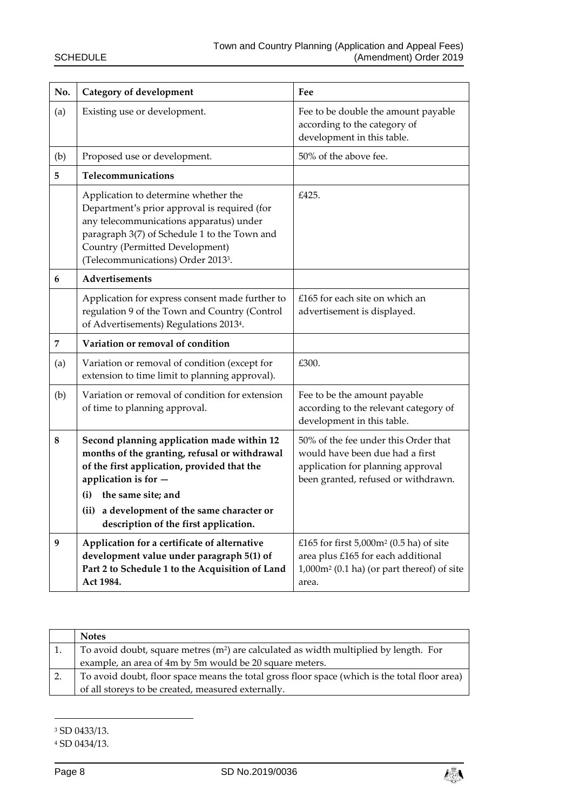| No. | <b>Category of development</b>                                                                                                                                                                                                                                                          | Fee                                                                                                                                                    |
|-----|-----------------------------------------------------------------------------------------------------------------------------------------------------------------------------------------------------------------------------------------------------------------------------------------|--------------------------------------------------------------------------------------------------------------------------------------------------------|
| (a) | Existing use or development.                                                                                                                                                                                                                                                            | Fee to be double the amount payable<br>according to the category of<br>development in this table.                                                      |
| (b) | Proposed use or development.                                                                                                                                                                                                                                                            | 50% of the above fee.                                                                                                                                  |
| 5   | Telecommunications                                                                                                                                                                                                                                                                      |                                                                                                                                                        |
|     | Application to determine whether the<br>Department's prior approval is required (for<br>any telecommunications apparatus) under<br>paragraph 3(7) of Schedule 1 to the Town and<br>Country (Permitted Development)<br>(Telecommunications) Order 2013 <sup>3</sup> .                    | £425.                                                                                                                                                  |
| 6   | Advertisements                                                                                                                                                                                                                                                                          |                                                                                                                                                        |
|     | Application for express consent made further to<br>regulation 9 of the Town and Country (Control<br>of Advertisements) Regulations 20134.                                                                                                                                               | £165 for each site on which an<br>advertisement is displayed.                                                                                          |
| 7   | Variation or removal of condition                                                                                                                                                                                                                                                       |                                                                                                                                                        |
| (a) | Variation or removal of condition (except for<br>extension to time limit to planning approval).                                                                                                                                                                                         | £300.                                                                                                                                                  |
| (b) | Variation or removal of condition for extension<br>of time to planning approval.                                                                                                                                                                                                        | Fee to be the amount payable<br>according to the relevant category of<br>development in this table.                                                    |
| 8   | Second planning application made within 12<br>months of the granting, refusal or withdrawal<br>of the first application, provided that the<br>application is for -<br>the same site; and<br>(i)<br>(ii) a development of the same character or<br>description of the first application. | 50% of the fee under this Order that<br>would have been due had a first<br>application for planning approval<br>been granted, refused or withdrawn.    |
| 9   | Application for a certificate of alternative<br>development value under paragraph 5(1) of<br>Part 2 to Schedule 1 to the Acquisition of Land<br>Act 1984.                                                                                                                               | £165 for first $5,000$ m <sup>2</sup> (0.5 ha) of site<br>area plus £165 for each additional<br>$1,000m^2$ (0.1 ha) (or part thereof) of site<br>area. |

| <b>Notes</b>                                                                                  |
|-----------------------------------------------------------------------------------------------|
| To avoid doubt, square metres $(m^2)$ are calculated as width multiplied by length. For       |
| example, an area of 4m by 5m would be 20 square meters.                                       |
| To avoid doubt, floor space means the total gross floor space (which is the total floor area) |
| of all storeys to be created, measured externally.                                            |

<sup>3</sup> SD 0433/13.

1



<sup>4</sup> SD 0434/13.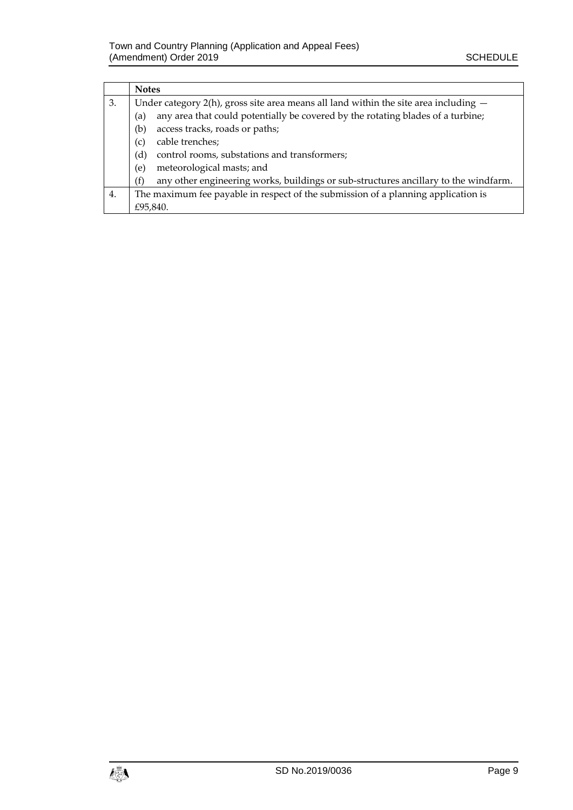|    | <b>Notes</b>                                                                               |  |
|----|--------------------------------------------------------------------------------------------|--|
| 3. | Under category $2(h)$ , gross site area means all land within the site area including $-$  |  |
|    | any area that could potentially be covered by the rotating blades of a turbine;<br>(a)     |  |
|    | access tracks, roads or paths;<br>(b)                                                      |  |
|    | cable trenches;<br>(c)                                                                     |  |
|    | control rooms, substations and transformers;<br>(d)                                        |  |
|    | meteorological masts; and<br>(e)                                                           |  |
|    | any other engineering works, buildings or sub-structures ancillary to the windfarm.<br>(f) |  |
| 4. | The maximum fee payable in respect of the submission of a planning application is          |  |
|    | £95,840.                                                                                   |  |